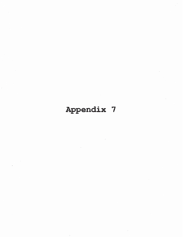# Appendix 7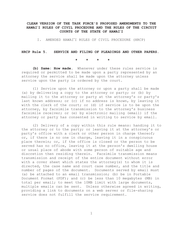# **CLEAN VERSION OF THE TASK FORCE'S PROPOSED AMENDMENTS TO THE HAWAI**-HAWAI<sup>'</sup>I RULES OF CIVIL PROCEDURE AND THE RULES OF THE CIRCUIT F THE TASK FORCE'S PROPOSED A<br>CIVIL PROCEDURE AND THE RULI<br>COURTS OF THE STATE OF HA<mark>WAI</mark>ʻ COURTS OF THE STATE OF HAWAI<sup>'</sup>I **COURTS OF THE STATE OF HAWAI<sup>\*</sup>I**<br>I. AMENDED HAWAI<sup>\*</sup>I RULES OF CIVIL PROCEDURE (HRCP)

#### **HRCP Rule 5. SERVICE AND FILING OF PLEADINGS AND OTHER PAPERS.**

**\*\*\*\***

**(b) Same: How made.** Whenever under these rules service is required or permitted to be made upon a party represented by an attorney the service shall be made upon the attorney unless service upon the party is ordered by the court.

(1) Service upon the attorney or upon a party shall be made (a) by delivering a copy to the attorney or party; or (b) by mailing it to the attorney or party at the attorney's or party's last known address; or (c) if no address is known, by leaving it with the clerk of the court; or (d) if service is to be upon the attorney, by facsimile transmission to the attorney's business facsimile receiver; or (e) by electronic mailing (email) if the attorney or party has consented in writing to service by email.

(2) Delivery of a copy within this rule means: handing it to the attorney or to the party; or leaving it at the attorney's or party's office with a clerk or other person in charge thereof; or, if there is no one in charge, leaving it in a conspicuous place therein; or, if the office is closed or the person to be served has no office, leaving it at the person's dwelling house or usual place of abode with some person of suitable age and discretion then residing therein. Facsimile transmission means transmission and receipt of the entire document without error with a cover sheet which states the attorney(s) to whom it is directed, the case name and court case number, and the title and number of pages of the document. Documents served by email must (a) be attached to an email transmission; (b) be in Portable Document Format (PDF); and (c) be less than 10 megabytes (MB) in total per email; to meet the 10MB limit with large documents, multiple emails can be sent. Unless otherwise agreed in writing, providing a link to documents on a web server or file-sharing service does not fulfill the service requirement.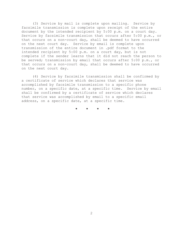(3) Service by mail is complete upon mailing. Service by facsimile transmission is complete upon receipt of the entire document by the intended recipient by 5:00 p.m. on a court day. Service by facsimile transmission that occurs after 5:00 p.m., or that occurs on a non-court day, shall be deemed to have occurred on the next court day. Service by email is complete upon transmission of the entire document in .pdf format to the intended recipient by 5:00 p.m. on a court day, but is not complete if the sender learns that it did not reach the person to be served; transmission by email that occurs after 5:00 p.m., or that occurs on a non-court day, shall be deemed to have occurred on the next court day.

(4) Service by facsimile transmission shall be confirmed by a certificate of service which declares that service was accomplished by facsimile transmission to a specific phone number, on a specific date, at a specific time. Service by email shall be confirmed by a certificate of service which declares that service was accomplished by email to a specific email address, on a specific date, at a specific time.

**\*\*\*\***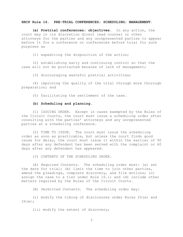#### **HRCP Rule 16. PRE-TRIAL CONFERENCES; SCHEDULING; MANAGEMENT**.

**(a) Pretrial conferences; objectives**. In any action, the court may in its discretion direct lead counsel or other attorneys for the parties and any unrepresented parties to appear before it for a conference or conferences before trial for such purposes as

(1) expediting the disposition of the action;

(2) establishing early and continuing control so that the case will not be protracted because of lack of management;

(3) discouraging wasteful pretrial activities;

(4) improving the quality of the trial through more thorough preparation; and

(5) facilitating the settlement of the case.

# **(b) Scheduling and planning**.

(1) ISSUING ORDER. Except in cases exempted by the Rules of the Circuit Courts, the court must issue a scheduling order after consulting with the parties' attorneys and any unrepresented parties at a scheduling conference.

(2) TIME TO ISSUE. The court must issue the scheduling order as soon as practicable, but unless the court finds good cause for delay, the court must issue it within the earlier of 90 days after any defendant has been served with the complaint or 60 days after any defendant has appeared.

(3) CONTENTS OF THE SCHEDULING ORDER.

(A) *Required Contents*. The scheduling order must: (a) set the date for trial; (b) limit the time to join other parties, amend the pleadings, complete discovery, and file motions; (c) assign the case to a tier under Rule 16.1; and (d) include other matters required by the Rules of the Circuit Courts.

(B) *Permitted Contents*. The scheduling order may:

(i) modify the timing of disclosures under Rules 26(a) and 26(e);

(ii) modify the extent of discovery;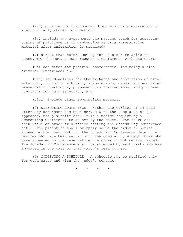(iii) provide for disclosure, discovery, or preservation of electronically stored information;

(iv) include any agreements the parties reach for asserting claims of privilege or of protection as trial-preparation material after information is produced;

(v) direct that before moving for an order relating to discovery, the movant must request a conference with the court;

(vi) set dates for pretrial conferences, including a final pretrial conference; and

(vii) set deadlines for the exchange and submission of trial materials, including exhibits, stipulations, deposition and trial preservation testimony, proposed jury instructions, and proposed questions for jury selection; and

(viii) include other appropriate matters.

(4) SCHEDULING CONFERENCE. Within the earlier of 14 days after any defendant has been served with the complaint or has appeared, the plaintiff shall file a notice requesting a Scheduling Conference to be set by the court. The court shall then issue an order or a notice setting the Scheduling Conference date. The plaintiff shall promptly serve the order or notice issued by the court setting the Scheduling Conference date on all parties who have been served with the complaint, except those who have appeared in the case before the order or notice was issued. The Scheduling Conference shall be attended by each party who has appeared in the case or that party's lead counsel.

(5) MODIFYING A SCHEDULE. A schedule may be modified only for good cause and with the judge's consent.

**\*\*\*\***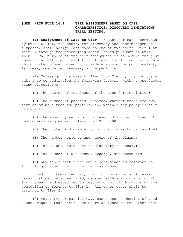# **[NEW] HRCP RULE 16.1 TIER ASSIGNMENT BASED ON CASE CHARACERISTICS; DISCOVERY LIMITATIONS; TRIAL SETTING.**

**(a) Assignment of Case to Tier.** Except for cases exempted by Rule 16.1(b), the court, for discovery and case management purposes, shall assign each case to one of two tiers (Tier 1 or Tier 2) through the scheduling order issued pursuant to Rule 16(b). The purpose of the tier assignment is to secure the just, speedy, and efficient resolution of cases by placing them into an appropriate pathway based on considerations of proportionality, fairness, cost-effectiveness, and expedition.

(1) In assigning a case to Tier 1 or Tier 2, the court shall take into consideration the following factors, with no one factor being dispositive:

(A) The degree of readiness of the case for resolution;

(B) The number of parties involved, whether there are two parties or more than two parties, and whether any party is selfrepresented;

(C) The monetary value of the case and whether the amount in controversy is greater or less than \$150,000;

(D) The number and complexity of the issues to be resolved;

- (E) The number, extent, and nature of the claims;
- (F) The volume and extent of discovery necessary;
- (G) The number of witnesses, experts, and documents;

(H) Any other factor the court determines is relevant to fulfilling the purpose of the tier assignment.

Based upon these factors, the court by order shall assign cases that can be streamlined, managed with a minimum of court involvement, and expedited to resolution within 9 months of the scheduling conference to Tier 1. All other cases shall be assigned to Tier 2.

(2) Any party or parties may, based upon a showing of good cause, request that their case be re-assigned to the other tier.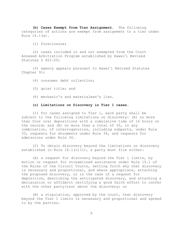**(b) Cases Exempt from Tier Assignment**. The following categories of actions are exempt from assignment to a tier under Rule 16.1(a).

(1) foreclosure;

(2) cases included in and not exempted from the Court Annexed Arbitration Program established by Hawai-i Revised Statutes § 601-20; tes § 601-20;<br>(3) agency appeals pursuant to Hawai'i Revised Statutes

Chapter 91;

(4) consumer debt collection;

- (5) quiet title; and
- (6) mechanic's and materialman's lien.

**(c) Limitations on Discovery in Tier 1 cases**.

(1) For cases assigned to Tier 1, each party shall be subject to the following limitations on discovery: (A) no more than four oral depositions with a cumulative time of 16 hours on the record; and (B) no more than a total of 35, in any combination, of interrogatories, including subparts, under Rule 33, requests for documents under Rule 34, and requests for admissions under Rule 36.

(2) To obtain discovery beyond the limitations on discovery established in Rule 16.1(c)(1), a party must file either:

(A) a request for discovery beyond the Tier 1 limits, by motion or request for streamlined assistance under Rule 15.1 of the Rules of the Circuit Courts, setting forth why that discovery is necessary and proportional, and where appropriate, attaching the proposed discovery, or in the case of a request for deposition, describing the anticipated discovery, and attaching a declaration or affidavit certifying a good faith effort to confer with the other party(ies) about the discovery; or

(B) a stipulation, approved by the court, that discovery beyond the Tier 1 limits is necessary and proportional and agreed to by the parties.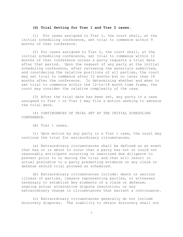#### **(d) Trial Setting for Tier 1 and Tier 2 cases.**

(1) For cases assigned to Tier 1, the court shall, at the initial scheduling conference, set trial to commence within 9 months of that conference.

(2) For cases assigned to Tier 2, the court shall, at the initial scheduling conference, set trial to commence within 12 months of that conference unless a party requests a trial date after that period. Upon the request of any party at the initial scheduling conference, after reviewing the materials submitted, and considering the relative positions of all parties, the court may set trial to commence after 12 months but no later than 18 months after the conference. In determining whether and when to set trial to commence within the 12-to-18 month time frame, the court may consider the relative complexity of the case.

(3) After the trial date has been set, any party in a case assigned to Tier 1 or Tier 2 may file a motion seeking to advance the trial date.

(4) CONTINUANCES OF TRIAL SET AT THE INITIAL SCHEDULING CONFERENCE.

(A) Tier 1 cases.

(i) Upon motion by any party in a Tier 1 case, the court may continue the trial for extraordinary circumstances.

(a) Extraordinary circumstances shall be defined as an event that has or is about to occur that a party has not or could not reasonably anticipate occurring or exercised due diligence to prevent prior to or during the trial and that will result in actual prejudice to a party presenting evidence on any claim or defense should trial proceed as scheduled.

(b) Extraordinary circumstances include: death or serious illness of parties, lawyers representing parties, or witnesses necessary to establish key elements of a claim or defense; ongoing actual alternative dispute resolution; or any extraordinary change in circumstances that warrant a continuance.

(c) Extraordinary circumstances generally do not include discovery disputes. The inability to obtain discovery shall not

7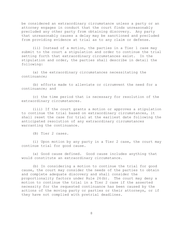be considered an extraordinary circumstance unless a party or an attorney engages in conduct that the court finds unreasonably precluded any other party from obtaining discovery. Any party that unreasonably causes a delay may be sanctioned and precluded from providing evidence at trial as to any claim or defense.

(ii) Instead of a motion, the parties in a Tier 1 case may submit to the court a stipulation and order to continue the trial setting forth that extraordinary circumstances exist. In the stipulation and order, the parties shall describe in detail the following:

(a) the extraordinary circumstances necessitating the continuance;

(b) efforts made to alleviate or circumvent the need for a continuance; and

(c) the time period that is necessary for resolution of the extraordinary circumstances.

(iii) If the court grants a motion or approves a stipulation to continue the trial based on extraordinary circumstances, it shall reset the case for trial at the earliest date following the anticipated resolution of any extraordinary circumstances warranting the continuance.

(B) Tier 2 cases.

(i) Upon motion by any party in a Tier 2 case, the court may continue trial for good cause.

(a) Good cause defined. Good cause includes anything that would constitute an extraordinary circumstance.

(b) In considering a motion to continue the trial for good cause, the court may consider the needs of the parties to obtain and complete adequate discovery and shall consider the proportionality factors under Rule 26(b). The court may deny a motion to continue the trial in a Tier 2 case if the asserted necessity for the requested continuance has been caused by the actions of the moving party or parties or their attorneys, or if they have not complied with pretrial deadlines.

8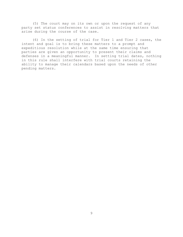(5) The court may on its own or upon the request of any party set status conferences to assist in resolving matters that arise during the course of the case.

(6) In the setting of trial for Tier 1 and Tier 2 cases, the intent and goal is to bring these matters to a prompt and expeditious resolution while at the same time ensuring that parties are given an opportunity to present their claims and defenses in a meaningful manner. In setting trial dates, nothing in this rule shall interfere with trial courts retaining the ability to manage their calendars based upon the needs of other pending matters.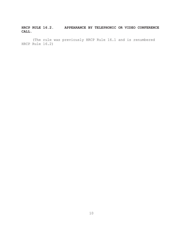# **HRCP RULE 16.2. APPEARANCE BY TELEPHONIC OR VIDEO CONFERENCE CALL**.

(The rule was previously HRCP Rule 16.1 and is renumbered HRCP Rule 16.2)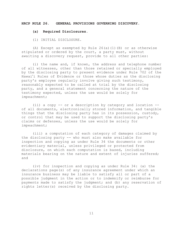#### **HRCP RULE 26. GENERAL PROVISIONS GOVERNING DISCOVERY**.

#### **(a) Required Disclosures**.

(1) INITIAL DISCLOSURE.

(A) Except as exempted by Rule 26(a)(1)(B) or as otherwise stipulated or ordered by the court, a party must, without awaiting a discovery request, provide to all other parties:

(i) the name and, if known, the address and telephone number of all witnesses, other than those retained or specially employed by the disclosing party to present evidence under Rule 702 of the of al<br>by the<br>Hawai' Hawai'i Rules of Evidence or those whose duties as the disclosing party's employee regularly involve giving such testimony, reasonably expected to be called at trial by the disclosing party, and a general statement concerning the nature of the testimony expected, unless the use would be solely for impeachment;

(ii) a copy -- or a description by category and location - of all documents, electronically stored information, and tangible things that the disclosing party has in its possession, custody, or control that may be used to support the disclosing party's claims or defenses, unless the use would be solely for impeachment;

(iii) a computation of each category of damages claimed by the disclosing party -- who must also make available for inspection and copying as under Rule 34 the documents or other evidentiary material, unless privileged or protected from disclosure, on which each computation is based, including materials bearing on the nature and extent of injuries suffered; and

(iv) for inspection and copying as under Rule 34: (a) the declarations page(s) of any insurance agreement under which an insurance business may be liable to satisfy all or part of a possible judgment in the action or to indemnify or reimburse for payments made to satisfy the judgment; and (b) any reservation of rights letter(s) received by the disclosing party.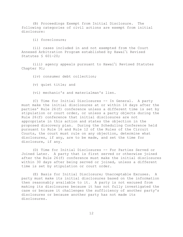(B) Proceedings Exempt from Initial Disclosure. The following categories of civil actions are exempt from initial disclosure:

(i) foreclosure;

(ii) cases included in and not exempted from the Court ii) cases included in and not exempted from the Cour)<br>Annexed Arbitration Program established by Hawaiʻi Revised Statutes § 601-20; tes § 601-20;<br>(iii) agency appeals pursuant to Hawai'i Revised Statutes

Chapter 91;

(iv) consumer debt collection;

(v) quiet title; and

(vi) mechanic's and materialman's lien.

(C) Time for Initial Disclosures -- In General. A party must make the initial disclosures at or within 14 days after the parties' Rule 26(f) conference unless a different time is set by stipulation or court order, or unless a party objects during the Rule 26(f) conference that initial disclosures are not appropriate in this action and states the objection in the proposed discovery plan. During the Scheduling Conference held pursuant to Rule 16 and Rule 12 of the Rules of the Circuit Courts, the court must rule on any objection, determine what disclosures, if any, are to be made, and set the time for disclosure, if any.

(D) Time for Initial Disclosures -- For Parties Served or Joined Later. A party that is first served or otherwise joined after the Rule 26(f) conference must make the initial disclosures within 30 days after being served or joined, unless a different time is set by stipulation or court order.

(E) Basis for Initial Disclosure; Unacceptable Excuses. A party must make its initial disclosures based on the information then reasonably available to it. A party is not excused from making its disclosures because it has not fully investigated the case or because it challenges the sufficiency of another party's disclosures or because another party has not made its disclosures.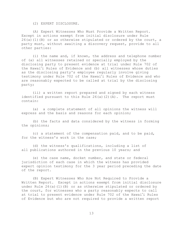(2) EXPERT DISCLOSURE.

(A) Expert Witnesses Who Must Provide a Written Report. Except in actions exempt from initial disclosure under Rule  $26(a)(1)(B)$  or as otherwise stipulated or ordered by the court, a party must, without awaiting a discovery request, provide to all other parties:

(i) the name and, if known, the address and telephone number of (a) all witnesses retained or specially employed by the disclosing party to present evidence at trial under Rule 702 of of (a) al<mark>l</mark><br>disclosing<br>the Hawai' the Hawai'i Rules of Evidence and (b) all witnesses whose duties as the disclosing party's employee regularly involve giving the Hawai'i Rules of Evidence and (b)<br>as the disclosing party's employee reg<br>testimony under Rule 702 of the Hawai' testimony under Rule 702 of the Hawai'i Rules of Evidence and who are reasonably expected to be called at trial by the disclosing party;

(ii) a written report prepared and signed by each witness identified pursuant to this Rule  $26(a)(2)(A)$ . The report must contain:

(a) a complete statement of all opinions the witness will express and the basis and reasons for each opinion;

(b) the facts and data considered by the witness in forming the opinions;

(c) a statement of the compensation paid, and to be paid, for the witness's work in the case;

(d) the witness's qualifications, including a list of all publications authored in the previous 10 years; and

(e) the case name, docket number, and state or federal jurisdiction of each case in which the witness has provided expert opinion testimony for the 3 year period preceding the date of the report.

(B) Expert Witnesses Who Are Not Required to Provide a Written Report. Except in actions exempt from initial disclosure under Rule 26(a)(1)(B) or as otherwise stipulated or ordered by<br>the court, for witnesses who a party reasonably expects to call<br>at trial to present evidence under Rule 702 of the Hawaiʻi Rules the court, for witnesses who a party reasonably expects to call at trial to present evidence under Rule 702 of the Hawai'i Rules of Evidence but who are not required to provide a written report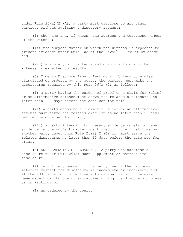under Rule 26(a)(2)(A), a party must disclose to all other parties, without awaiting a discovery request:

(i) the name and, if known, the address and telephone number of the witness;

(ii) the subject matter on which the witness is expected to ii) the subject matter on which the witness is expected to)<br>present evidence under Rule 702 of the Hawai'i Rules of Evidence; and

(iii) a summary of the facts and opinions to which the witness is expected to testify.

(C) Time to Disclose Expert Testimony. Unless otherwise stipulated or ordered by the court, the parties must make the disclosures required by this Rule 26(a)(2) as follows:

(i) a party having the burden of proof on a claim for relief or an affirmative defense must serve the related disclosures no later than 120 days before the date set for trial;

(ii) a party opposing a claim for relief or an affirmative defense must serve the related disclosures no later than 90 days before the date set for trial;

(iii) a party intending to present evidence solely to rebut evidence on the subject matter identified for the first time by another party under this Rule  $26(a)(2)(C)(ii)$  must serve the related dislosures no later than 60 days before the date set for trial.

(3) SUPPLEMENTING DISCLOSURES. A party who has made a disclosure under Rule 26(a) must supplement or correct its disclosure:

(A) in a timely manner if the party learns that in some material respect the disclosure is incomplete or incorrect, and if the additional or corrective information has not otherwise been made known to the other parties during the discovery process or in writing; or

(B) as ordered by the court.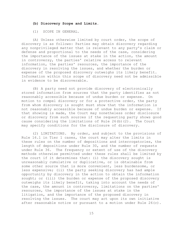# **(b) Discovery Scope and Limits.**

(1) SCOPE IN GENERAL.

(A) Unless otherwise limited by court order, the scope of discovery is as follows: Parties may obtain discovery regarding any nonprivileged matter that is relevant to any party's claim or defense and proportional to the needs of the case, considering the importance of the issues at stake in the action, the amount in controversy, the parties' relative access to relevant information, the parties' resources, the importance of the discovery in resolving the issues, and whether the burden or expense of the proposed discovery outweighs its likely benefit. Information within this scope of discovery need not be admissible in evidence to be discoverable.

(B) A party need not provide discovery of electronically stored information from sources that the party identifies as not reasonably accessible because of undue burden or expense. On motion to compel discovery or for a protective order, the party from whom discovery is sought must show that the information is not reasonably accessible because of undue burden or expense. If that showing is made, the Court may nonetheless order disclosure or discovery from such sources if the requesting party shows good cause considering the limitations of Rule 26(b)(2). The Court may specify conditions for the disclosure of discovery.

(2) LIMITATIONS. By order, and subject to the provisions of Rule 16.1 in Tier 1 cases, the court may alter the limits in these rules on the number of depositions and interrogatories, the length of depositions under Rule 30, and the number of requests under Rule 36. The frequency or extent of use of the discovery methods otherwise permitted under these rules shall be limited by the court if it determines that: (i) the discovery sought is unreasonably cumulative or duplicative, or is obtainable from some other source that is more convenient, less burdensome, or less expensive; (ii) the party seeking discovery has had ample opportunity by discovery in the action to obtain the information sought; or (iii) the burden or expense of the proposed discovery outweighs its likely benefit, taking into account the needs of the case, the amount in controversy, limitations on the parties' resources, the importance of the issues at stake in the litigation, and the importance of the proposed discovery in resolving the issues. The court may act upon its own initiative after reasonable notice or pursuant to a motion under Rule  $26(c)$ .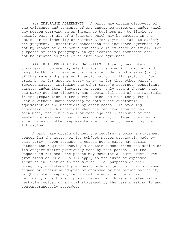(3) INSURANCE AGREEMENTS. A party may obtain discovery of the existence and contents of any insurance agreement under which any person carrying on an insurance business may be liable to satisfy part or all of a judgment which may be entered in the action or to indemnify or reimburse for payments made to satisfy the judgment. Information concerning the insurance agreement is not by reason of disclosure admissible in evidence at trial. For purposes of this paragraph, an application for insurance shall not be treated as part of an insurance agreement.

(4) TRIAL PREPARATION: MATERIALS. A party may obtain discovery of documents, electronically stored information, and tangible things otherwise discoverable under subdivision (b)(1) of this rule and prepared in anticipation of litigation or for trial by or for another party or by or for that other party's representative (including the other party's attorney, consultant, surety, indemnitor, insurer, or agent) only upon a showing that the party seeking discovery has substantial need of the materials in the preparation of the party's case and that the party is unable without undue hardship to obtain the substantial equivalent of the materials by other means. In ordering discovery of such materials when the required showing has been made, the court shall protect against disclosure of the mental impressions, conclusions, opinions, or legal theories of an attorney or other representative of a party concerning the litigation.

A party may obtain without the required showing a statement concerning the action or its subject matter previously made by that party. Upon request, a person not a party may obtain without the required showing a statement concerning the action or its subject matter previously made by that person. If the request is refused, the person may move for a court order. The provisions of Rule 37(a)(4) apply to the award of expenses incurred in relation to the motion. For purposes of this paragraph, a statement previously made is (A) a written statement signed or otherwise adopted or approved by the person making it, or (B) a stenographic, mechanical, electrical, or other recording, or a transcription thereof, which is a substantially verbatim recital of an oral statement by the person making it and contemporaneously recorded.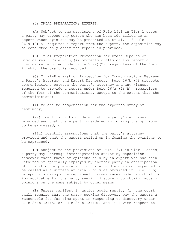(5) TRIAL PREPARATION: EXPERTS.

(A) Subject to the provisions of Rule 16.1 in Tier 1 cases, a party may depose any person who has been identified as an expert whose opinions may be presented at trial. If Rule  $26(a)(2)(A)$  requires a report from the expert, the deposition may be conducted only after the report is provided.

(B) Trial-Preparation Protection for Draft Reports or Disclosures. Rule 26(b)(4) protects drafts of any report or disclosure required under Rule 26(a)(2), regardless of the form in which the draft is recorded.

(C) Trial-Preparation Protection for Communications Between a Party's Attorney and Expert Witnesses. Rule 26(b)(4) protects communications between the party's attorney and any witness required to provide a report under Rule 26(a)(2)(A), regardless of the form of the communications, except to the extent that the communications:

(i) relate to compensation for the expert's study or testimony;

(ii) identify facts or data that the party's attorney provided and that the expert considered in forming the opinions to be expressed; or

(iii) identify assumptions that the party's attorney provided and that the expert relied on in forming the opinions to be expressed.

(D) Subject to the provisions of Rule 16.1 in Tier 1 cases, a party may, through interrogatories and/or by deposition, discover facts known or opinions held by an expert who has been retained or specially employed by another party in anticipation of litigation or preparation for trial and who is not expected to be called as a witness at trial, only as provided in Rule 35(b) or upon a showing of exceptional circumstances under which it is impracticable for the party seeking discovery to obtain facts or opinions on the same subject by other means.

(E) Unless manifest injustice would result, (i) the court shall require that the party seeking discovery pay the expert a reasonable fee for time spent in responding to discovery under Rule 26(b)(5)(A) or Rule 26 b)(5)(D); and (ii) with respect to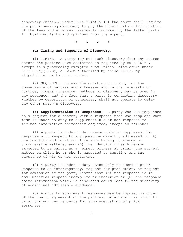discovery obtained under Rule 26(b)(5)(D) the court shall require the party seeking discovery to pay the other party a fair portion of the fees and expenses reasonably incurred by the latter party in obtaining facts and opinions from the expert.

**\*\*\*\***

#### **(d) Timing and Sequence of Discovery.**

(1) TIMING. A party may not seek discovery from any source before the parties have conferred as required by Rule  $26(f)$ , except in a proceeding exempted from initial disclosure under Rule  $26(a)(1)(B)$ , or when authorized by these rules, by stipulation, or by court order.

(2) SEQUENCE. Unless the court upon motion, for the convenience of parties and witnesses and in the interests of justice, orders otherwise, methods of discovery may be used in any sequence, and the fact that a party is conducting discovery, whether by deposition or otherwise, shall not operate to delay any other party's discovery.

**(e) Supplementation of Responses.** A party who has responded to a request for discovery with a response that was complete when made is under no duty to supplement his or her response to include information thereafter acquired, except as follows:

(1) A party is under a duty seasonably to supplement his response with respect to any question directly addressed to (A) the identity and location of persons having knowledge of discoverable matters, and (B) the identity of each person expected to be called as an expert witness at trial, the subject matter on which he or she is expected to testify, and the substance of his or her testimony.

(2) A party is under a duty seasonably to amend a prior response to an interrogatory, request for production, or request for admission if the party learns that (A) the response is in some material respect incomplete or incorrect or (B) the response omits information which if disclosed could lead to the discovery of additional admissible evidence.

(3) A duty to supplement responses may be imposed by order of the court, agreement of the parties, or at any time prior to trial through new requests for supplementation of prior responses.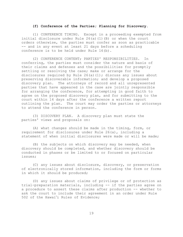#### **(f) Conference of the Parties; Planning for Discovery**.

(1) CONFERENCE TIMING. Except in a proceeding exempted from initial disclosure under Rule 26(a)(1)(B) or when the court orders otherwise, the parties must confer as soon as practicable -- and in any event at least 21 days before a scheduling conference is to be held under Rule 16(b).

(2) CONFERENCE CONTENT; PARTIES' RESPONSIBILITIES. In conferring, the parties must consider the nature and basis of their claims and defenses and the possibilities for promptly settling or resolving the case; make or arrange for the disclosures required by Rule  $26(a)(1)$ ; discuss any issues about preserving discoverable information; and develop a proposed discovery plan. The attorneys of record and all unrepresented parties that have appeared in the case are jointly responsible for arranging the conference, for attempting in good faith to agree on the proposed discovery plan, and for submitting to the court within 14 days after the conference a written report outlining the plan. The court may order the parties or attorneys to attend the conference in person.

(3) DISCOVERY PLAN. A discovery plan must state the parties' views and proposals on:

(A) what changes should be made in the timing, form, or requirement for disclosures under Rule 26(a), including a statement of when initial disclosures were made or will be made;

(B) the subjects on which discovery may be needed, when discovery should be completed, and whether discovery should be conducted in phases or be limited to or focused on particular issues;

(C) any issues about disclosure, discovery, or preservation of electronically stored information, including the form or forms in which it should be produced;

(D) any issues about claims of privilege or of protection as trial-preparation materials, including -- if the parties agree on a procedure to assert these claims after production -- whether to<br>ask the court to include their agreement in an order under Rule<br>502 of the Hawai'i Rules of Evidence; ask the court to include their agreement in an order under Rule 502 of the Hawai'i Rules of Evidence;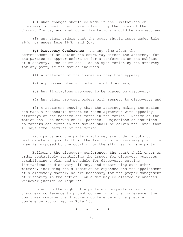(E) what changes should be made in the limitations on discovery imposed under these rules or by the Rules of the Circuit Courts, and what other limitations should be imposed; and

(F) any other orders that the court should issue under Rule  $26(c)$  or under Rule  $16(b)$  and  $(c)$ .

**(g) Discovery Conference**. At any time after the commencement of an action the court may direct the attorneys for the parties to appear before it for a conference on the subject of discovery. The court shall do so upon motion by the attorney for any party if the motion includes:

(1) A statement of the issues as they then appear;

(2) A proposed plan and schedule of discovery;

(3) Any limitations proposed to be placed on discovery;

(4) Any other proposed orders with respect to discovery; and

(5) A statement showing that the attorney making the motion has made a reasonable effort to reach agreement with opposing attorneys on the matters set forth in the motion. Notice of the motion shall be served on all parties. Objections or additions to matters set forth in the motion shall be served not later than 10 days after service of the motion.

Each party and the party's attorney are under a duty to participate in good faith in the framing of a discovery plan if a plan is proposed by the court or by the attorney for any party.

Following the discovery conference, the court shall enter an order tentatively identifying the issues for discovery purposes, establishing a plan and schedule for discovery, setting limitations on discovery, if any, and determining such other matters, including the allocation of expenses and the appointment of a discovery master, as are necessary for the proper management of discovery in the action. An order may be altered or amended whenever justice so requires.

Subject to the right of a party who properly moves for a discovery conference to prompt convening of the conference, the court may combine the discovery conference with a pretrial conference authorized by Rule 16.

$$
\star\qquad\star\qquad\star\qquad\star
$$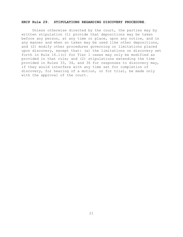#### **HRCP Rule 29. STIPULATIONS REGARDING DISCOVERY PROCEDURE.**

Unless otherwise directed by the court, the parties may by written stipulation (1) provide that depositions may be taken before any person, at any time or place, upon any notice, and in any manner and when so taken may be used like other depositions, and (2) modify other procedures governing or limitations placed upon discovery, except that: (a) the limitations on discovery set forth in Rule 16.1(c) for Tier 1 cases may only be modified as provided in that rule; and (2) stipulations extending the time provided in Rules 33, 34, and 36 for responses to discovery may, if they would interfere with any time set for completion of discovery, for hearing of a motion, or for trial, be made only with the approval of the court.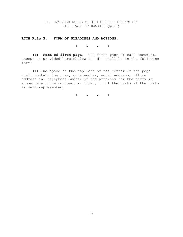II. AMENDED RULES OF THE CIRCUIT COURTS OF IDED RULES OF THE C<br>THE STATE OF HAWAI<sup>.</sup> THE STATE OF HAWAI'I (RCCH)

**RCCH Rule 3. FORM OF PLEADINGS AND MOTIONS.**

**\*\*\*\***

**(c) Form of first page.** The first page of each document, except as provided hereinbelow in (d), shall be in the following form:

(1) The space at the top left of the center of the page shall contain the name, code number, email address, office address and telephone number of the attorney for the party in whose behalf the document is filed, or of the party if the party is self-represented;

**\*\*\*\***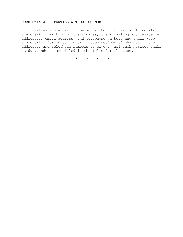# **RCCH Rule 4. PARTIES WITHOUT COUNSEL.**

Parties who appear in person without counsel shall notify the clerk in writing of their names, their mailing and residence addresses, email address, and telephone numbers and shall keep the clerk informed by proper written notices of changes in the addresses and telephone numbers so given. All such notices shall be duly indexed and filed in the folio for the case.

**\*\*\*\***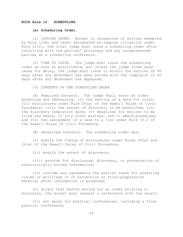#### **RCCH Rule 12. SCHEDULING**.

#### **(a) Scheduling Order**.

(1) ISSUING ORDER. Except in categories of actions exempted by Rule 12(b) and cases designated as complex litigation under Rule  $12(c)$ , the trial judge must issue a scheduling order after consulting with the parties' attorneys and any unrepresented parties at a scheduling conference.

(2) TIME TO ISSUE. The judge must issue the scheduling order as soon as practicable, but unless the judge finds good cause for delay, the judge must issue it within the earlier of 90 days after any defendant has been served with the complaint or 60 days after any defendant has appeared.

(3) CONTENTS OF THE SCHEDULING ORDER.

(A) *Required Contents*. The judge shall enter an order governing and addressing: (i) the setting of a date for trial; (A) Required Contents. The judge shall er governing and addressing: (i) the setting of a<br>(ii) disclosures under Rule 26(a) of the Hawai<sup>\*</sup> (ii) disclosures under Rule  $26(a)$  of the Hawai'i Rules of Civil Procedure; (iii) the extent of discovery to be permitted; (iv) the discovery completion date; (v) deadlines for motions to be filed and heard, to join other parties, and to amend pleadings; and (vi) the assignment of a case to a tier under Rule 16.1 of filed and<br>and (vi) t<br>the Hawai' the Hawai'i Rules of Civil Procedure.

(B) *Permitted Contents*. The scheduling order may:

(i) modify the timing of disclosures under Rules 26(a) and i) modify the timing of disclosures unde<br>26(e) of the Hawai'i Rules of Civil Procedure;

(ii) modify the extent of discovery;

(iii) provide for disclosure, discovery, or preservation of electronically stored information;

(iv) include any agreements the parties reach for asserting claims of privilege or of protection as trial-preparation material after information is produced;

(v) direct that before moving for an order relating to discovery, the movant must request a conference with the court;

(vi) set dates for pretrial conferences, including a final pretrial conference;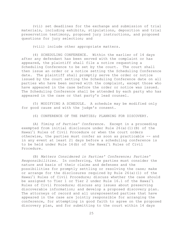(vii) set deadlines for the exchange and submission of trial materials, including exhibits, stipulations, deposition and trial preservation testimony, proposed jury instructions, and proposed questions for jury selection; and

(viii) include other appropriate matters.

(4) SCHEDULING CONFERENCE. Within the earlier of 14 days after any defendant has been served with the complaint or has appeared, the plaintiff shall file a notice requesting a Scheduling Conference to be set by the court. The court shall then issue an order or a notice setting the Scheduling Conference date. The plaintiff shall promptly serve the order or notice issued by the court setting the Scheduling Conference date on all parties who have been served with the complaint, except those who have appeared in the case before the order or notice was issued. The Scheduling Conference shall be attended by each party who has appeared in the case or that party's lead counsel.

(5) MODIFYING A SCHEDULE. A schedule may be modified only for good cause and with the judge's consent.

(6) CONFERENCE OF THE PARTIES; PLANNING FOR DISCOVERY.

(A) *Timing of Parties' Conference*. Except in a proceeding exempted from initial disclosure under Rule 26(a)(1)(B) of the exempt<br>Hawai' Hawai'i Rules of Civil Procedure or when the court orders otherwise, the parties must confer as soon as practicable -- and in any event at least 21 days before a scheduling conference is otherwise, the parties must confer as soot<br>in any event at least 21 days before a so<br>to be held under Rule 16(b) of the Hawai<sup>4</sup> to be held under Rule 16(b) of the Hawai'i Rules of Civil Procedure.

(B) *Matters Considered in Parties' Conference; Parties' Responsibilities*. In conferring, the parties must consider the nature and basis of their claims and defenses and the possibilities for promptly settling or resolving the case; make or arrange for the disclosures required by Rule 26(a)(1) of the possik<br>or arı<br>Hawaiʻ Hawai'i Rules of Civil Procedure; discuss whether the case should or arrange for the disclosures required by Rule 26(a)(1) of t<br>Hawai'i Rules of Civil Procedure; discuss whether the case sh<br>be assigned to Tier 1 or Tier 2 under Rule 16.1 of the Hawai' be assigned to Tier 1 or Tier 2 under Rule 16.1 of the Hawai'i Rules of Civil Procedure; discuss any issues about preserving discoverable information; and develop a proposed discovery plan. The attorneys of record and all unrepresented parties that have appeared in the case are jointly responsible for arranging the conference, for attempting in good faith to agree on the proposed discovery plan, and for submitting to the court within 14 days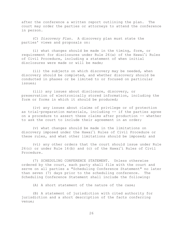after the conference a written report outlining the plan. The court may order the parties or attorneys to attend the conference in person.

(C) *Discovery Plan*. A discovery plan must state the parties' views and proposals on:

(i) what changes should be made in the timing, form, or i) what changes should be made in the timing, form, or<br>requirement for disclosures under Rule 26(a) of the Hawai'i Rules of Civil Procedure, including a statement of when initial disclosures were made or will be made;

(ii) the subjects on which discovery may be needed, when discovery should be completed, and whether discovery should be conducted in phases or be limited to or focused on particular issues;

(iii) any issues about disclosure, discovery, or preservation of electronically stored information, including the form or forms in which it should be produced;

(iv) any issues about claims of privilege or of protection as trial-preparation materials, including -- if the parties agree on a procedure to assert these claims after production -- whether to ask the court to include their agreement in an order;

(v) what changes should be made in the limitations on v) what changes should be made in the limitations on)<br>discovery imposed under the Hawai'i Rules of Civil Procedure or these rules, and what other limitations should be imposed; and

(vi) any other orders that the court should issue under Rule vi) any other orders that the court should issue under Ru)<br>26(c) or under Rule 16(b) and (c) of the Hawaiʻi Rules of Civil Procedure.

(7) SCHEDULING CONFERENCE STATEMENT. Unless otherwise ordered by the court, each party shall file with the court and serve on all parties a "Scheduling Conference Statement" no later than seven (7) days prior to the scheduling conference. The Scheduling Conference Statement shall include the following:

(A) A short statement of the nature of the case;

(B) A statement of jurisdiction with cited authority for jurisdiction and a short description of the facts conferring venue;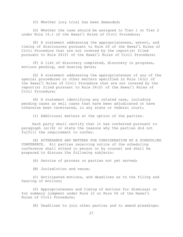(C) Whether jury trial has been demanded;

(D) Whether the case should be assigned to Tier 1 or Tier 2 D) Whether the case should be assigned to Tier 1 on)<br>under Rule 16.1 of the Hawai'i Rules of Civil Procedure;

(E) A statement addressing the appropriateness, extent, and E) A statement addressing the appropriateness, ex<br>timing of disclosures pursuant to Rule 26 of the Hawai<sup>\*</sup> timing of disclosures pursuant to Rule 26 of the Hawai'i Rules of Civil Procedure that are not covered by the report(s) filed timing of disclosures pursuant to Ru<br>Civil Procedure that are not covered<br>pursuant to Rule 26(f) of the Hawai' pursuant to Rule 26(f) of the Hawai'i Rules of Civil Procedure;

(F) A list of discovery completed, discovery in progress, motions pending, and hearing dates;

(G) A statement addressing the appropriateness of any of the special procedures or other matters specified in Rule 16(c) of G) *l*<br>special pi<br>the Hawai the Hawai'i Rules of Civil Procedure that are not covered by the special procedures or other matters specified in Rule 16(c) of<br>the Hawai'i Rules of Civil Procedure that are not covered by t<br>report(s) filed pursuant to Rule 26(f) of the Hawai'i Rules of Civil Procedure;

(H) A statement identifying any related case, including pending cases as well cases that have been adjudicated or have otherwise been terminated, in any state or federal court;

(I) Additional matters at the option of the parties.

Each party shall certify that it has conferred pursuant to paragraph (a)(6) or state the reasons why the parties did not fulfill the requirement to confer.

(8) ATTENDANCE AND MATTERS FOR CONSIDERATION AT A SCHEDULING CONFERENCE. All parties receiving notice of the scheduling conference shall attend in person or by counsel and shall be prepared to discuss the following subjects:

(A) Service of process on parties not yet served;

(B) Jurisdiction and venue;

(C) Anticipated motions, and deadlines as to the filing and hearing of motions;

(D) Appropriateness and timing of motions for dismissal or (D) Appropriateness and timing of motions for dismissal<br>for summary judgment under Rule 12 or Rule 56 of the Hawai'i Rules of Civil Procedure;

(E) Deadlines to join other parties and to amend pleadings;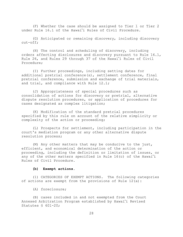(F) Whether the case should be assigned to Tier 1 or Tier 2 F) Whether the case should be assigned to Tier 1)<br>.under Rule 16.1 of the Hawai'i Rules of Civil Procedure

(G) Anticipated or remaining discovery, including discovery cut-off;

(H) The control and scheduling of discovery, including orders affecting disclosures and discovery pursuant to Rule 16.1, (H) The control and scheduling of discovery, including<br>16 orders affecting disclosures and discovery pursuant to Rule<br>26, and Rules 29 through 37 of the Hawaiʻi Rules of Civil Procedure;

(I) Further proceedings, including setting dates for additional pretrial conference(s), settlement conference, final pretrial conference, submission and exchange of trial materials, and trial, and compliance with Rule 12.1;

(J) Appropriateness of special procedures such as consolidation of actions for discovery or pretrial, alternative dispute resolution procedures, or application of procedures for cases designated as complex litigation;

(K) Modification of the standard pretrial procedures specified by this rule on account of the relative simplicity or complexity of the action or proceeding;

(L) Prospects for settlement, including participation in the court's mediation program or any other alternative dispute resolution process;

(M) Any other matters that may be conducive to the just, efficient, and economical determination of the action or proceeding, including the definition or limitation of issues, or efficient, and economical determination of the action or<br>proceeding, including the definition or limitation of issues, o<br>any of the other matters specified in Rule 16(c) of the Hawaiʻi Rules of Civil Procedure.

#### **(b) Exempt actions**.

(1) CATEGORIES OF EXEMPT ACTIONS. The following categories of actions are exempt from the provisions of Rule 12(a):

(A) foreclosure;

(B) cases included in and not exempted from the Court Annexed Arbitration Program established by Hawai-i Revised Statutes § 601-20;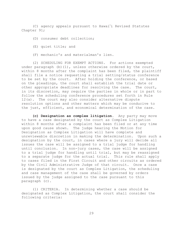(C) agency appeals pursuant to Hawai-i Revised Statutes Chapter 91;

(D) consumer debt collection;

- (E) quiet title; and
- (F) mechanic's and materialman's lien.

(2) SCHEDULING FOR EXEMPT ACTIONS. For actions exempted under paragraph  $(b)$  (1), unless otherwise ordered by the court, within 8 months after the complaint has been filed, the plaintiff shall file a notice requesting a trial setting/status conference to be set by the court. After holding the conference, or based on the pleadings, the court shall establish the trial date or other appropriate deadlines for resolving the case. The court, in its discretion, may require the parties in whole or in part to follow the scheduling conference procedures set forth in Rule 12(a). The court may also consider alternative dispute resolution options and other matters which may be conducive to the just, efficient, and economical determination of the case.

**(c) Designation as complex litigation**. Any party may move to have a case designated by the court as Complex Litigation within 8 months after a complaint has been filed or at any time upon good cause shown. The judge hearing the Motion for Designation as Complex Litigation will have complete and unreviewable discretion in making the determination. Upon such a designation by the court, in cases where a jury will decide all issues the case will be assigned to a trial judge for handling until conclusion. In non-jury cases, the case will be assigned to a trial judge for handling until trial, but may be reassigned to a separate judge for the actual trial. This rule shall apply to cases filed in the First Circuit and other circuits as ordered by the Civil Administrative Judge of that circuit. Once a case is designated by the court as Complex Litigation, the scheduling and case management of the case shall be governed by orders issued by the judge assigned to the case pursuant to this paragraph (c).

(1) CRITERIA. In determining whether a case should be designated as Complex Litigation, the court shall consider the following criteria: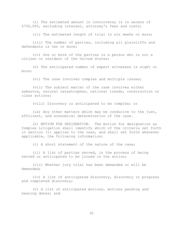(i) The estimated amount in controversy is in excess of \$750,000, excluding interest, attorney's fees and costs;

(ii) The estimated length of trial is six weeks or more;

(iii) The number of parties, including all plaintiffs and defendants is ten or more:

(iv) One or more of the parties is a person who is not a citizen or resident of the United States;

(v) The anticipated number of expert witnesses is eight or more;

(vi) The case involves complex and multiple issues;

(vii) The subject matter of the case involves either asbestos, natural catastrophes, national trends, construction or class actions;

(viii) Discovery is anticipated to be complex; or

(ix) Any other matters which may be conducive to the just, efficient, and economical determination of the case.

(2) MOTION FOR DESIGNATION. The motion for designation as Complex Litigation shall identify which of the criteria set forth in section (1) applies to the case, and shall set forth wherever applicable, the following information;

(i) A short statement of the nature of the case;

(ii) A list of parties served, in the process of being served or anticipated to be joined in the action;

(iii) Whether jury trial has been demanded or will be demanded;

(iv) A list of anticipated discovery, discovery in progress and completed discovery;

(v) A list of anticipated motions, motions pending and hearing dates; and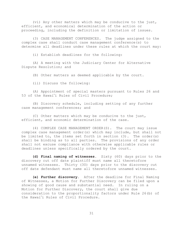(vi) Any other matters which may be conducive to the just, efficient, and economical determination of the action or proceeding, including the definition or limitation of issues.

(3) CASE MANAGEMENT CONFERENCES. The judge assigned to the complex case shall conduct case management conference(s) to determine all deadlines under these rules at which the court may:

(i) Establish deadlines for the following:

(A) A meeting with the Judiciary Center for Alternative Dispute Resolution; and

(B) Other matters as deemed applicable by the court.

(ii) Discuss the following:

(A) Appointment of special masters pursuant to Rules 26 and (A) Appointment of special masters pure<br>53 of the Hawai'i Rules of Civil Procedure;

(B) Discovery schedule, including setting of any further case management conferences; and

(C) Other matters which may be conducive to the just, efficient, and economic determination of the case.

(4) COMPLEX CASE MANAGEMENT ORDER(S). The court may issue complex case management order(s) which may include, but shall not be limited to, the items set forth in section (3). The order(s) shall be binding as to all parties. The provisions of any order shall not excuse compliance with otherwise applicable rules or deadlines unless specifically ordered by the court.

**(d) Final naming of witnesses**. Sixty (60) days prior to the discovery cut off date plaintiff must name all theretofore unnamed witnesses. Thirty (30) days prior to the discovery cut off date defendant must name all theretofore unnamed witnesses.

**(e) Further discovery.** After the deadline for Final Naming of Witnesses, a Motion for Further Discovery can be filed upon a showing of good cause and substantial need. In ruling on a Motion for Further Discovery, the court shall give due<br>consideration to the proportionality factors under Rul<br>the Hawaiʻi Rules of Civil Procedure. consideration to the proportionality factors under Rule 26(b) of the Hawai'i Rules of Civil Procedure.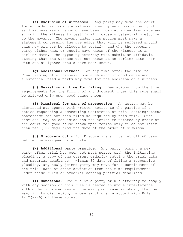**(f) Exclusion of witnesses**. Any party may move the court for an order excluding a witness named by an opposing party if said witness was or should have been known at an earlier date and allowing the witness to testify will cause substantial prejudice to the movant. The movant under this motion must make a statement concerning the prejudice that will be suffered should this new witness be allowed to testify, and why the opposing party either knew or should have known of the witness at an earlier date. The opposing attorney must submit an affidavit stating that the witness was not known at an earlier date, nor with due diligence should have been known.

**(g) Additional witness**. At any time after the time for Final Naming of Witnesses, upon a showing of good cause and substantial need a party may move for the addition of a witness.

**(h) Deviation in time for filing**. Deviations from the time requirements for the filing of any document under this rule shall be allowed only upon good cause shown.

**(i) Dismissal for want of prosecution**. An action may be dismissed sua sponte with written notice to the parties if a notice requesting a Scheduling Conference or trial setting/status conference has not been filed as required by this rule. Such dismissal may be set aside and the action reinstated by order of the court for good cause shown upon motion duly filed not later than ten (10) days from the date of the order of dismissal.

**(j) Discovery cut off.** Discovery shall be cut off 60 days before the assigned trial date.

**(k) Additional party practice**. Any party joining a new party after trial has been set must serve, with the initiating pleading, a copy of the current order(s) setting the trial date and pretrial deadlines. Within 30 days of filing a responsive pleading, any newly joined party may move for a continuance of the trial date or other deviation from the time requirements under these rules or order(s) setting pretrial deadlines.

**(l) Sanctions**. Failure of a party or his attorney to comply with any section of this rule is deemed an undue interference with orderly procedures and unless good cause is shown, the court may, in its discretion, impose sanctions in accord with Rule 12.2(a)(6) of these rules.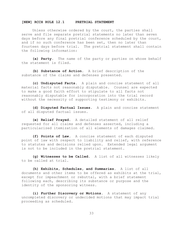#### **[NEW] RCCH RULE 12.1 PRETRIAL STATEMENT**

Unless otherwise ordered by the court, the parties shall serve and file separate pretrial statements no later than seven days before any final pretrial conference scheduled by the court, and if no such conference has been set, then no later than fourteen days before trial. The pretrial statement shall contain the following information:

**(a) Party.** The name of the party or parties on whose behalf the statement is filed.

**(b) Substance of Action.** A brief description of the substance of the claims and defenses presented.

**(c) Undisputed Facts.** A plain and concise statement of all material facts not reasonably disputable. Counsel are expected to make a good faith effort to stipulate to all facts not reasonably disputable for incorporation into the trial record without the necessity of supporting testimony or exhibits.

**(d) Disputed Factual Issues.** A plain and concise statement of all disputed factual issues.

**(e) Relief Prayed.** A detailed statement of all relief requested for all claims and defenses asserted, including a particularized itemization of all elements of damages claimed.

**(f) Points of Law.** A concise statement of each disputed point of law with respect to liability and relief, with reference to statutes and decisions relied upon. Extended legal argument is not to be included in the pretrial statement.

**(g) Witnesses to be Called.** A list of all witnesses likely to be called at trial.

**(h) Exhibits, Schedules, and Summaries.** A list of all documents and other items to be offered as exhibits at the trial, except for impeachment or rebuttal, with a brief statement following each, describing its substance or purpose and the identity of the sponsoring witness.

**(i) Further Discovery or Motions.** A statement of any uncompleted discovery or undecided motions that may impact trial proceeding as scheduled.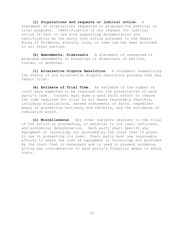**(j) Stipulations and requests or judicial notice**. A statement of stipulations requested or proposed for pretrial or trial purposes. Identification of any request for judicial notice of fact or law with supporting documentation and certification by the party that notice pursuant to the Hawaii Rules of Evidence, statute, rule, or case law has been provided to all other parties.

**(k) Amendments, Dismissals.** A statement of requested or proposed amendments to pleadings or dismissals of parties, claims, or defenses.

**(l) Alternative Dispute Resolution.** A statement summarizing the status of any alternative dispute resolution process that may impact trial.

**(m) Estimate of Trial Time.** An estimate of the number of court days expected to be required for the presentation of each party's case. Counsel must make a good faith effort to reduce the time required for trial by all means reasonably feasible, including stipulations, agreed statements of facts, expedited means of presenting testimony and exhibits, and the avoidance of cumulative proof.

**(n) Miscellaneous.** Any other subjects relevant to the trial of the action or proceeding, or material to its just, efficient, and economical determination. Each party shall specify any equipment or technology not provided by the court that it plans to use in presenting its case. Every party must use reasonable efforts to share the cost of equipment or technology not provided by the court that is necessary and is used to present evidence, giving due consideration to each party's financial means to share costs.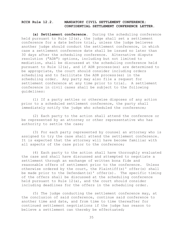# **RCCH Rule 12.2. MANDATORY CIVIL SETTLEMENT CONFERENCE; CONFIDENTIAL SETTLEMENT CONFERENCE LETTER**.

**(a) Settlement conference.** During the scheduling conference held pursuant to Rule  $12(a)$ , the judge shall set a settlement conference for a date before trial, unless the judge believes another judge should conduct the settlement conference, in which case a settlement conference date shall be issued no later than 30 days after the scheduling conference. Alternative dispute resolution ("ADR") options, including but not limited to mediation, shall be discussed at the scheduling conference held pursuant to Rule 12(a), and if ADR process(es) are determined to be appropriate, the court should consider including orders scheduling and to facilitate the ADR process(es) in the scheduling order. Any party may also file a request for settlement conference at any time prior to trial. A settlement conference in civil cases shall be subject to the following guidelines:

(1) If a party settles or otherwise disposes of any action prior to a scheduled settlement conference, the party shall immediately notify the judge who scheduled the conference;

(2) Each party to the action shall attend the conference or be represented by an attorney or other representative who has authority to settle the case;

(3) For each party represented by counsel an attorney who is assigned to try the case shall attend the settlement conference. It is expected that the attorney will have become familiar with all aspects of the case prior to the conference;

(4) Each party to the action shall have thoroughly evaluated the case and shall have discussed and attempted to negotiate a settlement through an exchange of written bona fide and reasonable offers of settlement prior to the conference. Unless otherwise ordered by the court, the Plaintiff(s)' offer(s) shall be made prior to the Defendant(s)' offer(s). The specific timing of the offers shall be discussed at the scheduling conference held pursuant to Rule 12(a), and the court should consider including deadlines for the offers in the scheduling order.

(5) The judge conducting the settlement conference may, at the conclusion of said conference, continue said conference to another time and date, and from time to time thereafter for continued settlement negotiations if the judge has reason to believe a settlement can thereby be effectuated;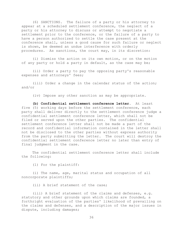(6) SANCTIONS. The failure of a party or his attorney to appear at a scheduled settlement conference, the neglect of a party or his attorney to discuss or attempt to negotiate a settlement prior to the conference, or the failure of a party to have a person authorized to settle the case present at the conference shall, unless a good cause for such failure or neglect is shown, be deemed an undue interference with orderly procedures. As sanctions, the court may, in its discretion:

(i) Dismiss the action on its own motion, or on the motion of any party or hold a party in default, as the case may be;

(ii) Order a party to pay the opposing party's reasonable expenses and attorneys' fees;

(iii) Order a change in the calendar status of the action; and/or

(iv) Impose any other sanction as may be appropriate.

**(b) Confidential settlement conference letter.** At least five (5) working days before the settlement conference, each party shall deliver directly to the settlement conference judge a confidential settlement conference letter, which shall not be filed or served upon the other parties. The confidential settlement conference letter shall not be made a part of the record and confidential information contained in the letter shall not be disclosed to the other parties without express authority from the party submitting the letter. The court will destroy the confidential settlement conference letter no later than entry of final judgment in the case.

The confidential settlement conference letter shall include the following:

(1) For the plaintiff:

(i) The name, age, marital status and occupation of all noncorporate plaintiffs;

(ii) A brief statement of the case;

(iii) A brief statement of the claims and defenses, e.g. statutory and other grounds upon which claims are founded, a forthright evaluation of the parties' likelihood of prevailing on the claims and defenses, and a description of the major issues in dispute, including damages;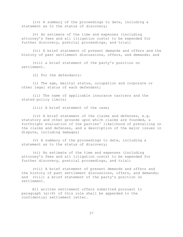(iv) A summary of the proceedings to date, including a statement as to the status of discovery;

(v) An estimate of the time and expenses (including attorney's fees and all litigation costs) to be expended for further discovery, pretrial proceedings, and trial;

(vi) A brief statement of present demands and offers and the history of past settlement discussions, offers, and demands; and

(vii) a brief statement of the party's position on settlement.

(2) For the defendants:

(i) The age, marital status, occupation and corporate or other legal status of each defendant;

(ii) The name of applicable insurance carriers and the stated policy limits;

(iii) A brief statement of the case;

(iv) A brief statement of the claims and defenses, e.g. statutory and other grounds upon which claims are founded, a forthright evaluation of the parties' likelihood of prevailing on the claims and defenses, and a description of the major issues in dispute, including damages;

(v) A summary of the proceedings to date, including a statement as to the status of discovery;

(vi) An estimate of the time and expenses (including attorney's fees and all litigation costs) to be expended for further discovery, pretrial proceedings, and trial;

(vii) A brief statement of present demands and offers and the history of past settlement discussions, offers, and demands; and (viii) a brief statement of the party's position on settlement.

All written settlement offers submitted pursuant to paragraph (a)(4) of this rule shall be appended to the confidential settlement letter.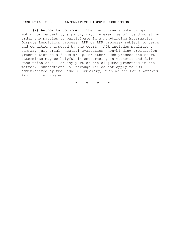### **RCCH Rule 12.3. ALTERNATIVE DISPUTE RESOLUTION.**

**(a) Authority to order.** The court, sua sponte or upon motion or request by a party, may, in exercise of its discretion, order the parties to participate in a non-binding Alternative Dispute Resolution process (ADR or ADR process) subject to terms and conditions imposed by the court. ADR includes mediation, summary jury trial, neutral evaluation, non-binding arbitration, presentation to a focus group, or other such process the court determines may be helpful in encouraging an economic and fair resolution of all or any part of the disputes presented in the<br>matter. Subsections (a) through (e) do not apply to ADR<br>administered by the Hawaiʻi Judiciary, such as the Court Annexe matter. Subsections (a) through (e) do not apply to ADR administered by the Hawai'i Judiciary, such as the Court Annexed Arbitration Program.

**\*\*\*\***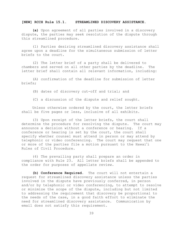# **[NEW] RCCH Rule 15.1. STREAMLINED DISCOVERY ASSISTANCE.**

**(a)** Upon agreement of all parties involved in a discovery dispute, the parties may seek resolution of the dispute through this streamlined procedure.

(1) Parties desiring streamlined discovery assistance shall agree upon a deadline for the simultaneous submission of letter briefs to the court.

(2) The letter brief of a party shall be delivered to chambers and served on all other parties by the deadline. The letter brief shall contain all relevant information, including:

(A) confirmation of the deadline for submission of letter briefs;

(B) dates of discovery cut-off and trial; and

(C) a discussion of the dispute and relief sought.

Unless otherwise ordered by the court, the letter briefs shall be five pages or less, inclusive of all exhibits.

(3) Upon receipt of the letter briefs, the court shall determine the procedure for resolving the dispute. The court may announce a decision without a conference or hearing. If a conference or hearing is set by the court, the court shall specify whether counsel must attend in person or may attend by telephonic or video conferencing. The court may request that one specify whether counsel must attend in person or may attend<br>telephonic or video conferencing. The court may request that<br>or more of the parties file a motion pursuant to the Hawai'i Rules of Civil Procedure.

(4) The prevailing party shall prepare an order in compliance with Rule 23. All letter briefs shall be appended to the order for purposes of appellate review.

**(b) Conference Required**. The court will not entertain a request for streamlined discovery assistance unless the parties involved in the dispute have previously conferred, in person and/or by telephonic or video conferencing, to attempt to resolve or minimize the scope of the dispute, including but not limited to addressing the requirement that discovery be proportional to the needs of the case, in a good faith effort to eliminate the need for streamlined discovery assistance. Communication by email does not satisfy this requirement.